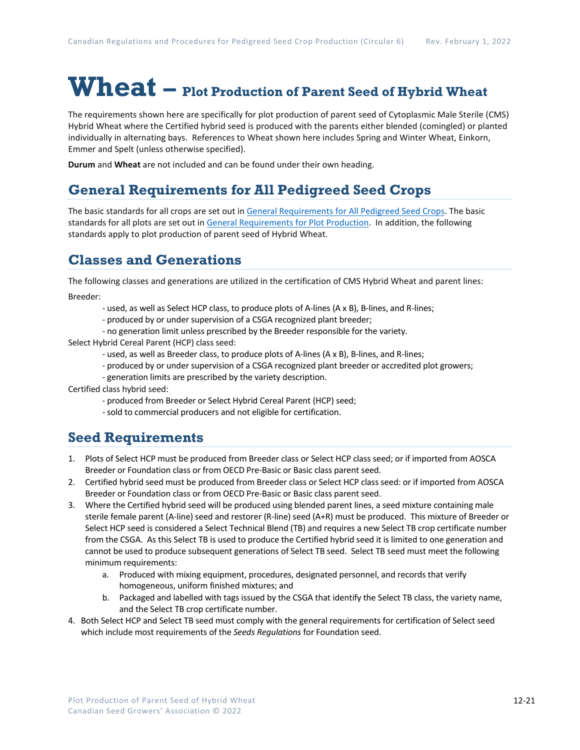# **Wheat – Plot Production of Parent Seed of Hybrid Wheat**

The requirements shown here are specifically for plot production of parent seed of Cytoplasmic Male Sterile (CMS) Hybrid Wheat where the Certified hybrid seed is produced with the parents either blended (comingled) or planted individually in alternating bays. References to Wheat shown here includes Spring and Winter Wheat, Einkorn, Emmer and Spelt (unless otherwise specified).

**Durum** and **Wheat** are not included and can be found under their own heading.

# **General Requirements for All Pedigreed Seed Crops**

The basic standards for all crops are set out i[n General Requirements for All Pedigreed Seed](https://seedgrowers.ca/wp-content/uploads/2020/01/GENERAL-REQUIREMENTS-ALL-CROPS_EN.pdf) Crops. The basic standards for all plots are set out i[n General Requirements for Plot Production.](https://seedgrowers.ca/wp-content/uploads/2020/01/GENERAL-REQUIREMENTS-PLOTS_EN.pdf) In addition, the following standards apply to plot production of parent seed of Hybrid Wheat.

## **Classes and Generations**

The following classes and generations are utilized in the certification of CMS Hybrid Wheat and parent lines: Breeder:

- used, as well as Select HCP class, to produce plots of A-lines (A x B), B-lines, and R-lines;
- produced by or under supervision of a CSGA recognized plant breeder;
- no generation limit unless prescribed by the Breeder responsible for the variety.

Select Hybrid Cereal Parent (HCP) class seed:

- used, as well as Breeder class, to produce plots of A-lines (A x B), B-lines, and R-lines;
- produced by or under supervision of a CSGA recognized plant breeder or accredited plot growers;
- generation limits are prescribed by the variety description.

Certified class hybrid seed:

- produced from Breeder or Select Hybrid Cereal Parent (HCP) seed;
- sold to commercial producers and not eligible for certification.

## **Seed Requirements**

- 1. Plots of Select HCP must be produced from Breeder class or Select HCP class seed; or if imported from AOSCA Breeder or Foundation class or from OECD Pre-Basic or Basic class parent seed.
- 2. Certified hybrid seed must be produced from Breeder class or Select HCP class seed: or if imported from AOSCA Breeder or Foundation class or from OECD Pre-Basic or Basic class parent seed.
- 3. Where the Certified hybrid seed will be produced using blended parent lines, a seed mixture containing male sterile female parent (A-line) seed and restorer (R-line) seed (A+R) must be produced. This mixture of Breeder or Select HCP seed is considered a Select Technical Blend (TB) and requires a new Select TB crop certificate number from the CSGA. As this Select TB is used to produce the Certified hybrid seed it is limited to one generation and cannot be used to produce subsequent generations of Select TB seed. Select TB seed must meet the following minimum requirements:
	- a. Produced with mixing equipment, procedures, designated personnel, and records that verify homogeneous, uniform finished mixtures; and
	- b. Packaged and labelled with tags issued by the CSGA that identify the Select TB class, the variety name, and the Select TB crop certificate number.
- 4. Both Select HCP and Select TB seed must comply with the general requirements for certification of Select seed which include most requirements of the *Seeds Regulations* for Foundation seed.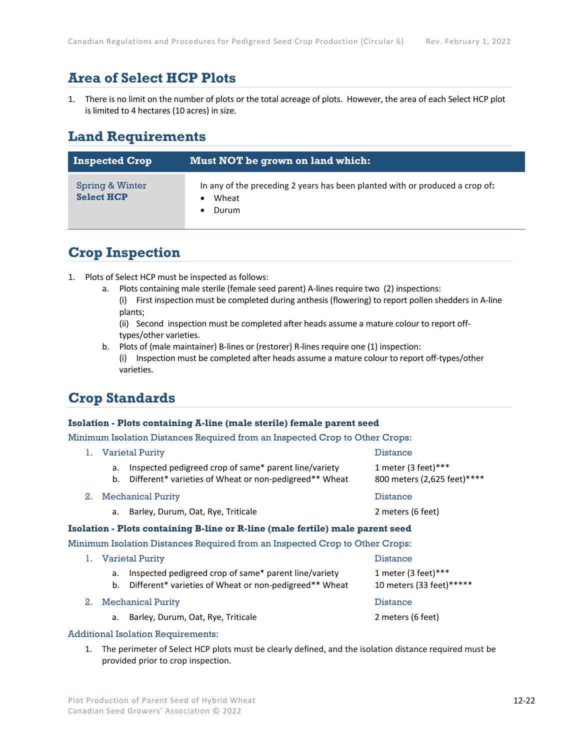# **Area of Select HCP Plots**

1. There is no limit on the number of plots or the total acreage of plots. However, the area of each Select HCP plot is limited to 4 hectares (10 acres) in size.

## **Land Requirements**

| <b>Inspected Crop</b>                | Must NOT be grown on land which:                                                               |  |
|--------------------------------------|------------------------------------------------------------------------------------------------|--|
| Spring & Winter<br><b>Select HCP</b> | In any of the preceding 2 years has been planted with or produced a crop of:<br>Wheat<br>Durum |  |

## **Crop Inspection**

- 1. Plots of Select HCP must be inspected as follows:
	- a. Plots containing male sterile (female seed parent) A-lines require two (2) inspections:
		- (i) First inspection must be completed during anthesis (flowering) to report pollen shedders in A-line plants;

(ii) Second inspection must be completed after heads assume a mature colour to report offtypes/other varieties.

b. Plots of (male maintainer) B-lines or (restorer) R-lines require one (1) inspection: (i) Inspection must be completed after heads assume a mature colour to report off-types/other varieties.

# **Crop Standards**

### **Isolation - Plots containing A-line (male sterile) female parent seed**

Minimum Isolation Distances Required from an Inspected Crop to Other Crops:

|                                                                               | 1. Varietal Purity       |                                                                                                                 | <b>Distance</b>                                     |  |
|-------------------------------------------------------------------------------|--------------------------|-----------------------------------------------------------------------------------------------------------------|-----------------------------------------------------|--|
|                                                                               | a.<br>b.                 | Inspected pedigreed crop of same* parent line/variety<br>Different* varieties of Wheat or non-pedigreed** Wheat | 1 meter (3 feet) ***<br>800 meters (2,625 feet)**** |  |
| 2.                                                                            | <b>Mechanical Purity</b> |                                                                                                                 | <b>Distance</b>                                     |  |
|                                                                               | a.                       | Barley, Durum, Oat, Rye, Triticale                                                                              | 2 meters (6 feet)                                   |  |
| Isolation - Plots containing B-line or R-line (male fertile) male parent seed |                          |                                                                                                                 |                                                     |  |
| Minimum Isolation Distances Required from an Inspected Crop to Other Crops:   |                          |                                                                                                                 |                                                     |  |
|                                                                               |                          | 1. Varietal Purity                                                                                              | <b>Distance</b>                                     |  |
|                                                                               | a.<br>b.                 | Inspected pedigreed crop of same* parent line/variety<br>Different* varieties of Wheat or non-pedigreed** Wheat | 1 meter (3 feet) ***<br>10 meters (33 feet)******   |  |

- 2. Mechanical Purity **Distance Research Struck In** Distance
	- a. Barley, Durum, Oat, Rye, Triticale 2 meters (6 feet)

#### Additional Isolation Requirements:

1. The perimeter of Select HCP plots must be clearly defined, and the isolation distance required must be provided prior to crop inspection.